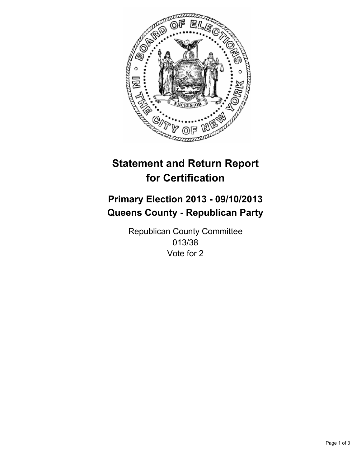

# **Statement and Return Report for Certification**

# **Primary Election 2013 - 09/10/2013 Queens County - Republican Party**

Republican County Committee 013/38 Vote for 2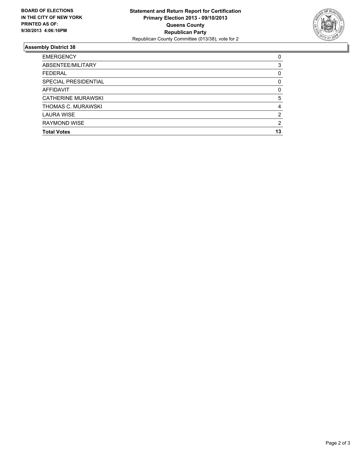

## **Assembly District 38**

| 0        |
|----------|
| 3        |
| 0        |
| 0        |
| $\Omega$ |
| 5        |
| 4        |
| 2        |
| 2        |
| 13       |
|          |